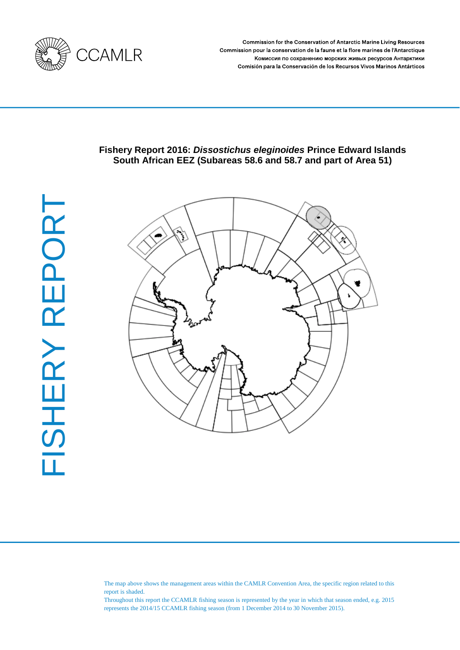

Commission for the Conservation of Antarctic Marine Living Resources Commission pour la conservation de la faune et la flore marines de l'Antarctique Комиссия по сохранению морских живых ресурсов Антарктики Comisión para la Conservación de los Recursos Vivos Marinos Antárticos

# **Fishery Report 2016:** *Dissostichus eleginoides* **Prince Edward Islands South African EEZ (Subareas 58.6 and 58.7 and part of Area 51)**



The map above shows the management areas within the CAMLR Convention Area, the specific region related to this report is shaded.

Throughout this report the CCAMLR fishing season is represented by the year in which that season ended, e.g. 2015 represents the 2014/15 CCAMLR fishing season (from 1 December 2014 to 30 November 2015).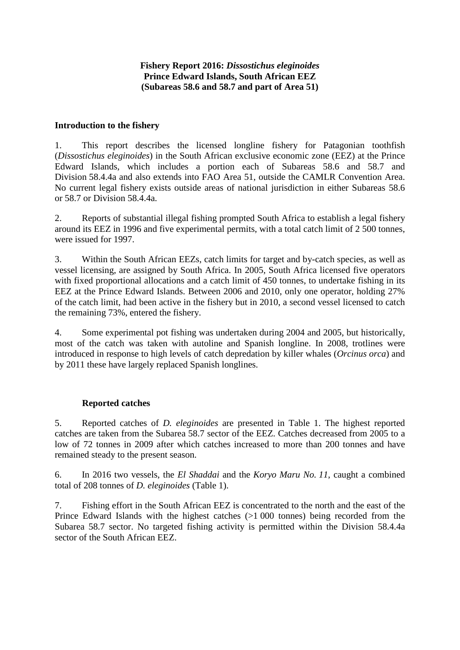# **Fishery Report 2016:** *Dissostichus eleginoides* **Prince Edward Islands, South African EEZ (Subareas 58.6 and 58.7 and part of Area 51)**

### **Introduction to the fishery**

1. This report describes the licensed longline fishery for Patagonian toothfish (*Dissostichus eleginoides*) in the South African exclusive economic zone (EEZ) at the Prince Edward Islands, which includes a portion each of Subareas 58.6 and 58.7 and Division 58.4.4a and also extends into FAO Area 51, outside the CAMLR Convention Area. No current legal fishery exists outside areas of national jurisdiction in either Subareas 58.6 or 58.7 or Division 58.4.4a.

2. Reports of substantial illegal fishing prompted South Africa to establish a legal fishery around its EEZ in 1996 and five experimental permits, with a total catch limit of 2 500 tonnes, were issued for 1997.

3. Within the South African EEZs, catch limits for target and by-catch species, as well as vessel licensing, are assigned by South Africa. In 2005, South Africa licensed five operators with fixed proportional allocations and a catch limit of 450 tonnes, to undertake fishing in its EEZ at the Prince Edward Islands. Between 2006 and 2010, only one operator, holding 27% of the catch limit, had been active in the fishery but in 2010, a second vessel licensed to catch the remaining 73%, entered the fishery.

4. Some experimental pot fishing was undertaken during 2004 and 2005, but historically, most of the catch was taken with autoline and Spanish longline. In 2008, trotlines were introduced in response to high levels of catch depredation by killer whales (*Orcinus orca*) and by 2011 these have largely replaced Spanish longlines.

#### **Reported catches**

5. Reported catches of *D. eleginoides* are presented in Table 1. The highest reported catches are taken from the Subarea 58.7 sector of the EEZ. Catches decreased from 2005 to a low of 72 tonnes in 2009 after which catches increased to more than 200 tonnes and have remained steady to the present season.

6. In 2016 two vessels, the *El Shaddai* and the *Koryo Maru No. 11*, caught a combined total of 208 tonnes of *D. eleginoides* (Table 1).

7. Fishing effort in the South African EEZ is concentrated to the north and the east of the Prince Edward Islands with the highest catches (>1 000 tonnes) being recorded from the Subarea 58.7 sector. No targeted fishing activity is permitted within the Division 58.4.4a sector of the South African EEZ.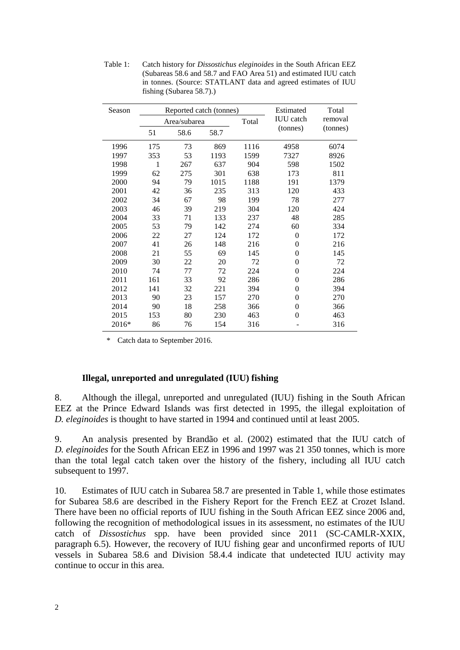| Season |     |              | Reported catch (tonnes) | Estimated | Total            |          |  |  |
|--------|-----|--------------|-------------------------|-----------|------------------|----------|--|--|
|        |     | Area/subarea |                         | Total     | <b>IUU</b> catch | removal  |  |  |
|        | 51  | 58.6         | 58.7                    |           | (tonnes)         | (tonnes) |  |  |
| 1996   | 175 | 73           | 869                     | 1116      | 4958             | 6074     |  |  |
| 1997   | 353 | 53           | 1193                    | 1599      | 7327             | 8926     |  |  |
| 1998   | 1   | 267          | 637                     | 904       | 598              | 1502     |  |  |
| 1999   | 62  | 275          | 301                     | 638       | 173              | 811      |  |  |
| 2000   | 94  | 79           | 1015                    | 1188      | 191              | 1379     |  |  |
| 2001   | 42  | 36           | 235                     | 313       | 120              | 433      |  |  |
| 2002   | 34  | 67           | 98                      | 199       | 78               | 277      |  |  |
| 2003   | 46  | 39           | 219                     | 304       | 120              | 424      |  |  |
| 2004   | 33  | 71           | 133                     | 237       | 48               | 285      |  |  |
| 2005   | 53  | 79           | 142                     | 274       | 60               | 334      |  |  |
| 2006   | 22  | 27           | 124                     | 172       | 0                | 172      |  |  |
| 2007   | 41  | 26           | 148                     | 216       | 0                | 216      |  |  |
| 2008   | 21  | 55           | 69                      | 145       | 0                | 145      |  |  |
| 2009   | 30  | 22           | 20                      | 72        | 0                | 72       |  |  |
| 2010   | 74  | 77           | 72                      | 224       | $\overline{0}$   | 224      |  |  |
| 2011   | 161 | 33           | 92                      | 286       | $\theta$         | 286      |  |  |
| 2012   | 141 | 32           | 221                     | 394       | $\theta$         | 394      |  |  |
| 2013   | 90  | 23           | 157                     | 270       | $\overline{0}$   | 270      |  |  |
| 2014   | 90  | 18           | 258                     | 366       | $\overline{0}$   | 366      |  |  |
| 2015   | 153 | 80           | 230                     | 463       | $\Omega$         | 463      |  |  |
| 2016*  | 86  | 76           | 154                     | 316       |                  | 316      |  |  |

Table 1: Catch history for *Dissostichus eleginoides* in the South African EEZ (Subareas 58.6 and 58.7 and FAO Area 51) and estimated IUU catch in tonnes. (Source: STATLANT data and agreed estimates of IUU fishing (Subarea 58.7).)

\* Catch data to September 2016.

### **Illegal, unreported and unregulated (IUU) fishing**

8. Although the illegal, unreported and unregulated (IUU) fishing in the South African EEZ at the Prince Edward Islands was first detected in 1995, the illegal exploitation of *D. eleginoides* is thought to have started in 1994 and continued until at least 2005.

9. An analysis presented by Brandão et al. (2002) estimated that the IUU catch of *D. eleginoides* for the South African EEZ in 1996 and 1997 was 21 350 tonnes, which is more than the total legal catch taken over the history of the fishery, including all IUU catch subsequent to 1997.

10. Estimates of IUU catch in Subarea 58.7 are presented in Table 1, while those estimates for Subarea 58.6 are described in the Fishery Report for the French EEZ at Crozet Island. There have been no official reports of IUU fishing in the South African EEZ since 2006 and, following the recognition of methodological issues in its assessment, no estimates of the IUU catch of *Dissostichus* spp. have been provided since 2011 (SC-CAMLR-XXIX, paragraph 6.5). However, the recovery of IUU fishing gear and unconfirmed reports of IUU vessels in Subarea 58.6 and Division 58.4.4 indicate that undetected IUU activity may continue to occur in this area.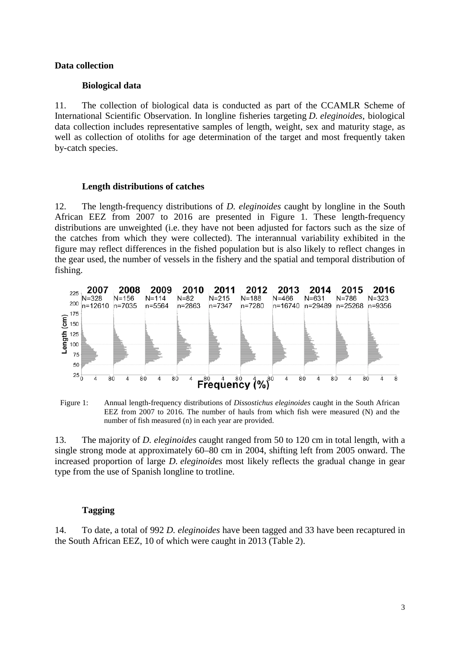#### **Data collection**

#### **Biological data**

11. The collection of biological data is conducted as part of the CCAMLR Scheme of International Scientific Observation. In longline fisheries targeting *D. eleginoides*, biological data collection includes representative samples of length, weight, sex and maturity stage, as well as collection of otoliths for age determination of the target and most frequently taken by-catch species.

#### **Length distributions of catches**

12. The length-frequency distributions of *D. eleginoides* caught by longline in the South African EEZ from 2007 to 2016 are presented in Figure 1. These length-frequency distributions are unweighted (i.e. they have not been adjusted for factors such as the size of the catches from which they were collected). The interannual variability exhibited in the figure may reflect differences in the fished population but is also likely to reflect changes in the gear used, the number of vessels in the fishery and the spatial and temporal distribution of fishing.



Figure 1: Annual length-frequency distributions of *Dissostichus eleginoides* caught in the South African EEZ from 2007 to 2016. The number of hauls from which fish were measured (N) and the number of fish measured (n) in each year are provided.

13. The majority of *D. eleginoides* caught ranged from 50 to 120 cm in total length, with a single strong mode at approximately 60–80 cm in 2004, shifting left from 2005 onward. The increased proportion of large *D. eleginoides* most likely reflects the gradual change in gear type from the use of Spanish longline to trotline.

#### **Tagging**

14. To date, a total of 992 *D. eleginoides* have been tagged and 33 have been recaptured in the South African EEZ, 10 of which were caught in 2013 (Table 2).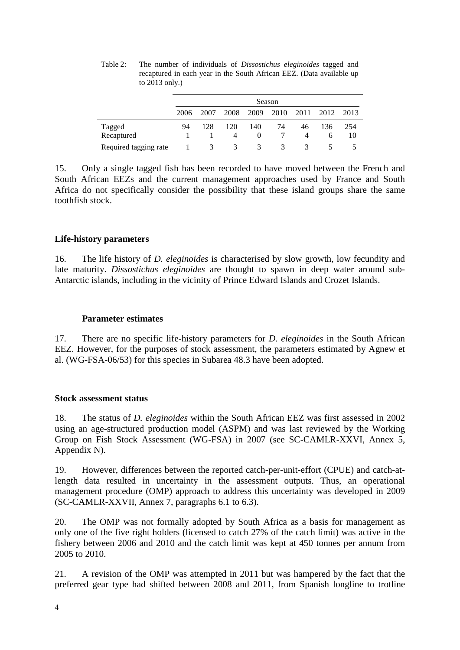|                       | Season |      |      |      |      |      |              |      |  |
|-----------------------|--------|------|------|------|------|------|--------------|------|--|
|                       | 2006   | 2007 | 2008 | 2009 | 2010 | 2011 | 2012         | 2013 |  |
| Tagged                | 94     | 128  | 120  | 140  | 74   | 46   | 136          | 254  |  |
| Recaptured            |        |      | 4    |      |      |      | <sub>0</sub> | 10   |  |
| Required tagging rate |        |      | 3    | 3    |      | К    |              |      |  |

Table 2: The number of individuals of *Dissostichus eleginoides* tagged and recaptured in each year in the South African EEZ. (Data available up to 2013 only.)

15. Only a single tagged fish has been recorded to have moved between the French and South African EEZs and the current management approaches used by France and South Africa do not specifically consider the possibility that these island groups share the same toothfish stock.

# **Life-history parameters**

16. The life history of *D. eleginoides* is characterised by slow growth, low fecundity and late maturity. *Dissostichus eleginoides* are thought to spawn in deep water around sub-Antarctic islands, including in the vicinity of Prince Edward Islands and Crozet Islands.

# **Parameter estimates**

17. There are no specific life-history parameters for *D. eleginoides* in the South African EEZ. However, for the purposes of stock assessment, the parameters estimated by Agnew et al. (WG-FSA-06/53) for this species in Subarea 48.3 have been adopted.

# **Stock assessment status**

18. The status of *D. eleginoides* within the South African EEZ was first assessed in 2002 using an age-structured production model (ASPM) and was last reviewed by the Working Group on Fish Stock Assessment (WG-FSA) in 2007 (see SC-CAMLR-XXVI, Annex 5, Appendix N).

19. However, differences between the reported catch-per-unit-effort (CPUE) and catch-atlength data resulted in uncertainty in the assessment outputs. Thus, an operational management procedure (OMP) approach to address this uncertainty was developed in 2009 (SC-CAMLR-XXVII, Annex 7, paragraphs 6.1 to 6.3).

20. The OMP was not formally adopted by South Africa as a basis for management as only one of the five right holders (licensed to catch 27% of the catch limit) was active in the fishery between 2006 and 2010 and the catch limit was kept at 450 tonnes per annum from 2005 to 2010.

21. A revision of the OMP was attempted in 2011 but was hampered by the fact that the preferred gear type had shifted between 2008 and 2011, from Spanish longline to trotline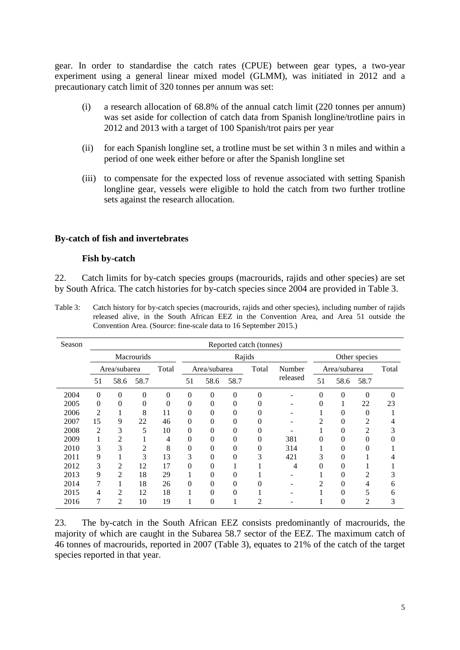gear. In order to standardise the catch rates (CPUE) between gear types, a two-year experiment using a general linear mixed model (GLMM), was initiated in 2012 and a precautionary catch limit of 320 tonnes per annum was set:

- (i) a research allocation of 68.8% of the annual catch limit (220 tonnes per annum) was set aside for collection of catch data from Spanish longline/trotline pairs in 2012 and 2013 with a target of 100 Spanish/trot pairs per year
- (ii) for each Spanish longline set, a trotline must be set within 3 n miles and within a period of one week either before or after the Spanish longline set
- (iii) to compensate for the expected loss of revenue associated with setting Spanish longline gear, vessels were eligible to hold the catch from two further trotline sets against the research allocation.

#### **By-catch of fish and invertebrates**

#### **Fish by-catch**

22. Catch limits for by-catch species groups (macrourids, rajids and other species) are set by South Africa. The catch histories for by-catch species since 2004 are provided in Table 3.

Table 3: Catch history for by-catch species (macrourids, rajids and other species), including number of rajids released alive, in the South African EEZ in the Convention Area, and Area 51 outside the Convention Area. (Source: fine-scale data to 16 September 2015.)

| Season | Reported catch (tonnes) |                |                |              |          |               |          |                |          |               |          |                |          |
|--------|-------------------------|----------------|----------------|--------------|----------|---------------|----------|----------------|----------|---------------|----------|----------------|----------|
|        | <b>Macrourids</b>       |                |                |              |          | Rajids        |          |                |          | Other species |          |                |          |
|        | Area/subarea            |                | Total          | Area/subarea |          | Total         | Number   | Area/subarea   |          |               | Total    |                |          |
|        | 51                      | 58.6           | 58.7           |              | 51       | 58.6          | 58.7     |                | released | 51            | 58.6     | 58.7           |          |
| 2004   | 0                       | $\theta$       | $\theta$       | 0            | $\theta$ | $\theta$      | 0        | $\Omega$       |          | 0             | $\theta$ | $\Omega$       | $\Omega$ |
| 2005   | 0                       | $\theta$       | 0              | 0            | $\theta$ | 0             | 0        |                |          |               |          | 22             | 23       |
| 2006   | $\overline{c}$          |                | 8              | 11           | $\theta$ | $\theta$      | 0        |                |          |               |          | 0              |          |
| 2007   | 15                      | 9              | 22             | 46           | $\Omega$ | $\theta$      | 0        |                |          | ◠             |          | 2              |          |
| 2008   | 2                       | 3              | 5              | 10           | $\theta$ | $\mathcal{O}$ | $\theta$ |                |          |               |          | $\overline{c}$ |          |
| 2009   |                         | 2              |                | 4            | $\theta$ | 0             | $\theta$ | 0              | 381      |               |          |                |          |
| 2010   | 3                       | 3              | $\overline{2}$ | 8            | $\theta$ | 0             | $\theta$ | 0              | 314      |               |          |                |          |
| 2011   | 9                       |                | 3              | 13           | 3        | 0             | 0        | 3              | 421      | 3             |          |                |          |
| 2012   | 3                       | $\overline{2}$ | 12             | 17           | $\theta$ | 0             |          |                | 4        |               |          |                |          |
| 2013   | 9                       | $\overline{2}$ | 18             | 29           |          | 0             | 0        |                |          |               |          | 2              | 3        |
| 2014   | 7                       |                | 18             | 26           | $\theta$ | 0             | 0        |                |          | 2             | 0        | 4              | 6        |
| 2015   | 4                       | $\overline{2}$ | 12             | 18           |          | 0             | 0        |                |          |               |          | 5              | 6        |
| 2016   | 7                       | $\overline{2}$ | 10             | 19           | 1        | 0             |          | $\mathfrak{D}$ |          |               | $\Omega$ | 2              | 3        |

23. The by-catch in the South African EEZ consists predominantly of macrourids, the majority of which are caught in the Subarea 58.7 sector of the EEZ. The maximum catch of 46 tonnes of macrourids, reported in 2007 (Table 3), equates to 21% of the catch of the target species reported in that year.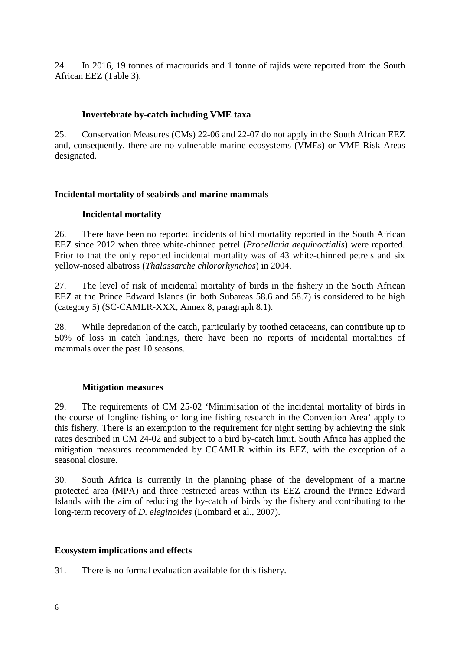24. In 2016, 19 tonnes of macrourids and 1 tonne of rajids were reported from the South African EEZ (Table 3).

# **Invertebrate by-catch including VME taxa**

25. Conservation Measures (CMs) 22-06 and 22-07 do not apply in the South African EEZ and, consequently, there are no vulnerable marine ecosystems (VMEs) or VME Risk Areas designated.

# **Incidental mortality of seabirds and marine mammals**

# **Incidental mortality**

26. There have been no reported incidents of bird mortality reported in the South African EEZ since 2012 when three white-chinned petrel (*Procellaria aequinoctialis*) were reported. Prior to that the only reported incidental mortality was of 43 white-chinned petrels and six yellow-nosed albatross (*Thalassarche chlororhynchos*) in 2004.

27. The level of risk of incidental mortality of birds in the fishery in the South African EEZ at the Prince Edward Islands (in both Subareas 58.6 and 58.7) is considered to be high (category 5) (SC-CAMLR-XXX, Annex 8, paragraph 8.1).

28. While depredation of the catch, particularly by toothed cetaceans, can contribute up to 50% of loss in catch landings, there have been no reports of incidental mortalities of mammals over the past 10 seasons.

# **Mitigation measures**

29. The requirements of CM 25-02 'Minimisation of the incidental mortality of birds in the course of longline fishing or longline fishing research in the Convention Area' apply to this fishery. There is an exemption to the requirement for night setting by achieving the sink rates described in CM 24-02 and subject to a bird by-catch limit. South Africa has applied the mitigation measures recommended by CCAMLR within its EEZ, with the exception of a seasonal closure.

30. South Africa is currently in the planning phase of the development of a marine protected area (MPA) and three restricted areas within its EEZ around the Prince Edward Islands with the aim of reducing the by-catch of birds by the fishery and contributing to the long-term recovery of *D. eleginoides* (Lombard et al., 2007).

# **Ecosystem implications and effects**

31. There is no formal evaluation available for this fishery.